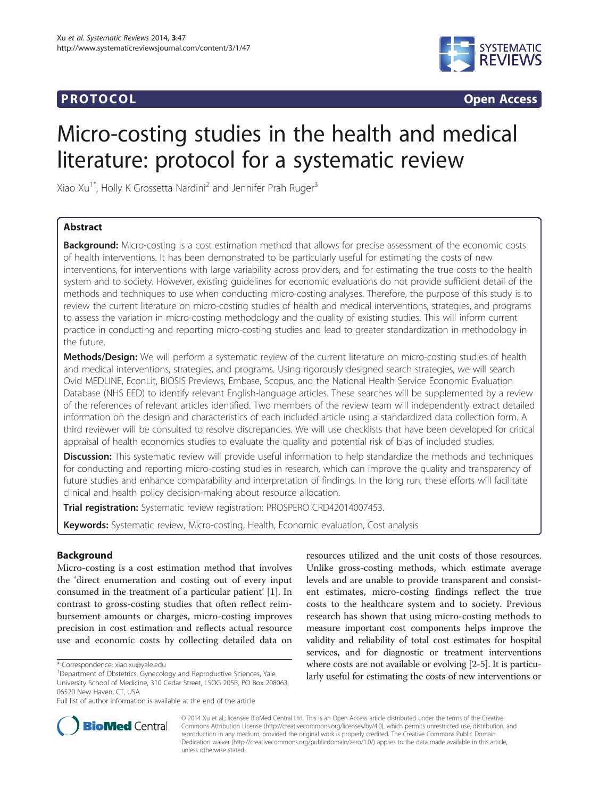## **PROTOCOL CONSUMING ACCESS CONSUMING ACCESS**



# Micro-costing studies in the health and medical literature: protocol for a systematic review

Xiao Xu<sup>1\*</sup>, Holly K Grossetta Nardini<sup>2</sup> and Jennifer Prah Ruger<sup>3</sup>

## Abstract

**Background:** Micro-costing is a cost estimation method that allows for precise assessment of the economic costs of health interventions. It has been demonstrated to be particularly useful for estimating the costs of new interventions, for interventions with large variability across providers, and for estimating the true costs to the health system and to society. However, existing guidelines for economic evaluations do not provide sufficient detail of the methods and techniques to use when conducting micro-costing analyses. Therefore, the purpose of this study is to review the current literature on micro-costing studies of health and medical interventions, strategies, and programs to assess the variation in micro-costing methodology and the quality of existing studies. This will inform current practice in conducting and reporting micro-costing studies and lead to greater standardization in methodology in the future.

Methods/Design: We will perform a systematic review of the current literature on micro-costing studies of health and medical interventions, strategies, and programs. Using rigorously designed search strategies, we will search Ovid MEDLINE, EconLit, BIOSIS Previews, Embase, Scopus, and the National Health Service Economic Evaluation Database (NHS EED) to identify relevant English-language articles. These searches will be supplemented by a review of the references of relevant articles identified. Two members of the review team will independently extract detailed information on the design and characteristics of each included article using a standardized data collection form. A third reviewer will be consulted to resolve discrepancies. We will use checklists that have been developed for critical appraisal of health economics studies to evaluate the quality and potential risk of bias of included studies.

Discussion: This systematic review will provide useful information to help standardize the methods and techniques for conducting and reporting micro-costing studies in research, which can improve the quality and transparency of future studies and enhance comparability and interpretation of findings. In the long run, these efforts will facilitate clinical and health policy decision-making about resource allocation.

Trial registration: Systematic review registration: PROSPERO [CRD42014007453](http://www.crd.york.ac.uk/PROSPERO/display_record.asp?ID=CRD42014007453).

Keywords: Systematic review, Micro-costing, Health, Economic evaluation, Cost analysis

## Background

Micro-costing is a cost estimation method that involves the 'direct enumeration and costing out of every input consumed in the treatment of a particular patient' [[1\]](#page-5-0). In contrast to gross-costing studies that often reflect reimbursement amounts or charges, micro-costing improves precision in cost estimation and reflects actual resource use and economic costs by collecting detailed data on

resources utilized and the unit costs of those resources. Unlike gross-costing methods, which estimate average levels and are unable to provide transparent and consistent estimates, micro-costing findings reflect the true costs to the healthcare system and to society. Previous research has shown that using micro-costing methods to measure important cost components helps improve the validity and reliability of total cost estimates for hospital services, and for diagnostic or treatment interventions where costs are not available or evolving [\[2](#page-5-0)-[5](#page-5-0)]. It is particularly useful for estimating the costs of new interventions or



© 2014 Xu et al.; licensee BioMed Central Ltd. This is an Open Access article distributed under the terms of the Creative Commons Attribution License [\(http://creativecommons.org/licenses/by/4.0\)](http://creativecommons.org/licenses/by/4.0), which permits unrestricted use, distribution, and reproduction in any medium, provided the original work is properly credited. The Creative Commons Public Domain Dedication waiver [\(http://creativecommons.org/publicdomain/zero/1.0/](http://creativecommons.org/publicdomain/zero/1.0/)) applies to the data made available in this article, unless otherwise stated.

<sup>\*</sup> Correspondence: [xiao.xu@yale.edu](mailto:xiao.xu@yale.edu) <sup>1</sup>

Department of Obstetrics, Gynecology and Reproductive Sciences, Yale University School of Medicine, 310 Cedar Street, LSOG 205B, PO Box 208063, 06520 New Haven, CT, USA

Full list of author information is available at the end of the article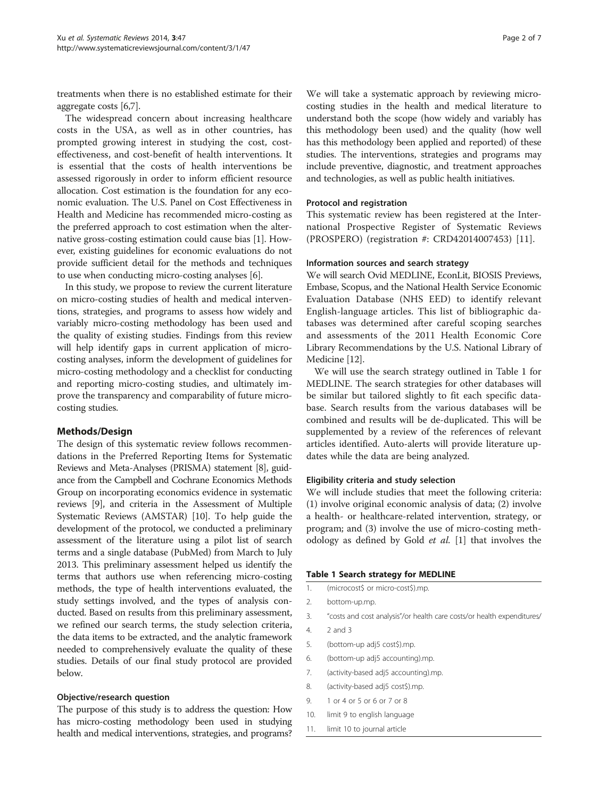treatments when there is no established estimate for their aggregate costs [[6,7](#page-5-0)].

The widespread concern about increasing healthcare costs in the USA, as well as in other countries, has prompted growing interest in studying the cost, costeffectiveness, and cost-benefit of health interventions. It is essential that the costs of health interventions be assessed rigorously in order to inform efficient resource allocation. Cost estimation is the foundation for any economic evaluation. The U.S. Panel on Cost Effectiveness in Health and Medicine has recommended micro-costing as the preferred approach to cost estimation when the alternative gross-costing estimation could cause bias [[1\]](#page-5-0). However, existing guidelines for economic evaluations do not provide sufficient detail for the methods and techniques to use when conducting micro-costing analyses [\[6](#page-5-0)].

In this study, we propose to review the current literature on micro-costing studies of health and medical interventions, strategies, and programs to assess how widely and variably micro-costing methodology has been used and the quality of existing studies. Findings from this review will help identify gaps in current application of microcosting analyses, inform the development of guidelines for micro-costing methodology and a checklist for conducting and reporting micro-costing studies, and ultimately improve the transparency and comparability of future microcosting studies.

## Methods/Design

The design of this systematic review follows recommendations in the Preferred Reporting Items for Systematic Reviews and Meta-Analyses (PRISMA) statement [\[8\]](#page-6-0), guidance from the Campbell and Cochrane Economics Methods Group on incorporating economics evidence in systematic reviews [\[9](#page-6-0)], and criteria in the Assessment of Multiple Systematic Reviews (AMSTAR) [\[10\]](#page-6-0). To help guide the development of the protocol, we conducted a preliminary assessment of the literature using a pilot list of search terms and a single database (PubMed) from March to July 2013. This preliminary assessment helped us identify the terms that authors use when referencing micro-costing methods, the type of health interventions evaluated, the study settings involved, and the types of analysis conducted. Based on results from this preliminary assessment, we refined our search terms, the study selection criteria, the data items to be extracted, and the analytic framework needed to comprehensively evaluate the quality of these studies. Details of our final study protocol are provided below.

## Objective/research question

The purpose of this study is to address the question: How has micro-costing methodology been used in studying health and medical interventions, strategies, and programs? We will take a systematic approach by reviewing microcosting studies in the health and medical literature to understand both the scope (how widely and variably has this methodology been used) and the quality (how well has this methodology been applied and reported) of these studies. The interventions, strategies and programs may include preventive, diagnostic, and treatment approaches and technologies, as well as public health initiatives.

## Protocol and registration

This systematic review has been registered at the International Prospective Register of Systematic Reviews (PROSPERO) (registration #: CRD42014007453) [[11\]](#page-6-0).

## Information sources and search strategy

We will search Ovid MEDLINE, EconLit, BIOSIS Previews, Embase, Scopus, and the National Health Service Economic Evaluation Database (NHS EED) to identify relevant English-language articles. This list of bibliographic databases was determined after careful scoping searches and assessments of the 2011 Health Economic Core Library Recommendations by the U.S. National Library of Medicine [[12](#page-6-0)].

We will use the search strategy outlined in Table 1 for MEDLINE. The search strategies for other databases will be similar but tailored slightly to fit each specific database. Search results from the various databases will be combined and results will be de-duplicated. This will be supplemented by a review of the references of relevant articles identified. Auto-alerts will provide literature updates while the data are being analyzed.

## Eligibility criteria and study selection

We will include studies that meet the following criteria: (1) involve original economic analysis of data; (2) involve a health- or healthcare-related intervention, strategy, or program; and (3) involve the use of micro-costing methodology as defined by Gold et al. [[1\]](#page-5-0) that involves the

## Table 1 Search strategy for MEDLINE

- 1. (microcost\$ or micro-cost\$).mp.
- 2. bottom-up.mp.
- 3. "costs and cost analysis"/or health care costs/or health expenditures/
- 4. 2 and 3
- 5. (bottom-up adj5 cost\$).mp.
- 6. (bottom-up adj5 accounting).mp.
- 7. (activity-based adj5 accounting).mp.
- 8. (activity-based adj5 cost\$).mp.
- 9. 1 or 4 or 5 or 6 or 7 or 8
- 10. limit 9 to english language
- 11. limit 10 to journal article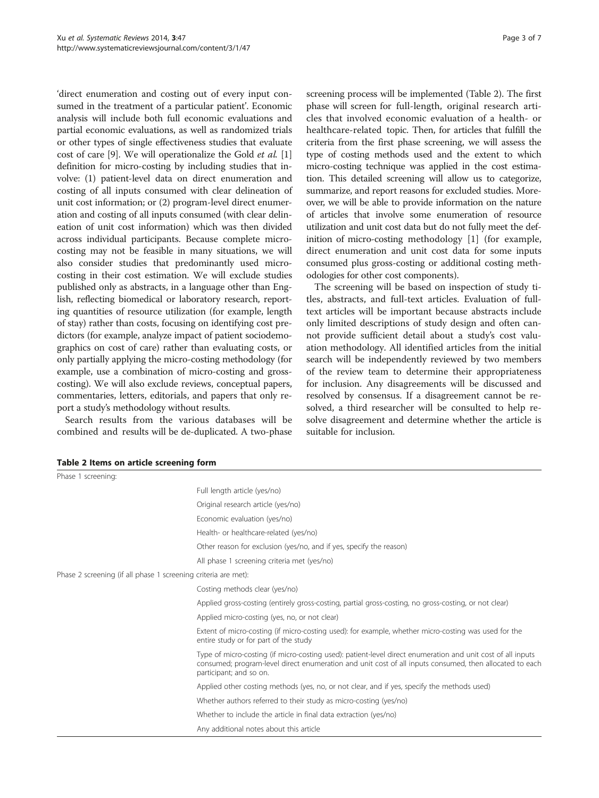'direct enumeration and costing out of every input consumed in the treatment of a particular patient'. Economic analysis will include both full economic evaluations and partial economic evaluations, as well as randomized trials or other types of single effectiveness studies that evaluate cost of care [[9\]](#page-6-0). We will operationalize the Gold et al. [[1](#page-5-0)] definition for micro-costing by including studies that involve: (1) patient-level data on direct enumeration and costing of all inputs consumed with clear delineation of unit cost information; or (2) program-level direct enumeration and costing of all inputs consumed (with clear delineation of unit cost information) which was then divided across individual participants. Because complete microcosting may not be feasible in many situations, we will also consider studies that predominantly used microcosting in their cost estimation. We will exclude studies published only as abstracts, in a language other than English, reflecting biomedical or laboratory research, reporting quantities of resource utilization (for example, length of stay) rather than costs, focusing on identifying cost predictors (for example, analyze impact of patient sociodemographics on cost of care) rather than evaluating costs, or only partially applying the micro-costing methodology (for example, use a combination of micro-costing and grosscosting). We will also exclude reviews, conceptual papers, commentaries, letters, editorials, and papers that only report a study's methodology without results.

Search results from the various databases will be combined and results will be de-duplicated. A two-phase

phase will screen for full-length, original research articles that involved economic evaluation of a health- or healthcare-related topic. Then, for articles that fulfill the criteria from the first phase screening, we will assess the type of costing methods used and the extent to which micro-costing technique was applied in the cost estimation. This detailed screening will allow us to categorize, summarize, and report reasons for excluded studies. Moreover, we will be able to provide information on the nature of articles that involve some enumeration of resource utilization and unit cost data but do not fully meet the definition of micro-costing methodology [\[1](#page-5-0)] (for example, direct enumeration and unit cost data for some inputs consumed plus gross-costing or additional costing methodologies for other cost components).

The screening will be based on inspection of study titles, abstracts, and full-text articles. Evaluation of fulltext articles will be important because abstracts include only limited descriptions of study design and often cannot provide sufficient detail about a study's cost valuation methodology. All identified articles from the initial search will be independently reviewed by two members of the review team to determine their appropriateness for inclusion. Any disagreements will be discussed and resolved by consensus. If a disagreement cannot be resolved, a third researcher will be consulted to help resolve disagreement and determine whether the article is suitable for inclusion.

| FIRST PUTCHING.                                                |                                                                                                                                                                                                                                                   |
|----------------------------------------------------------------|---------------------------------------------------------------------------------------------------------------------------------------------------------------------------------------------------------------------------------------------------|
|                                                                | Full length article (yes/no)                                                                                                                                                                                                                      |
|                                                                | Original research article (yes/no)                                                                                                                                                                                                                |
|                                                                | Economic evaluation (yes/no)                                                                                                                                                                                                                      |
|                                                                | Health- or healthcare-related (yes/no)                                                                                                                                                                                                            |
|                                                                | Other reason for exclusion (yes/no, and if yes, specify the reason)                                                                                                                                                                               |
|                                                                | All phase 1 screening criteria met (yes/no)                                                                                                                                                                                                       |
| Phase 2 screening (if all phase 1 screening criteria are met): |                                                                                                                                                                                                                                                   |
|                                                                | Costing methods clear (yes/no)                                                                                                                                                                                                                    |
|                                                                | Applied gross-costing (entirely gross-costing, partial gross-costing, no gross-costing, or not clear)                                                                                                                                             |
|                                                                | Applied micro-costing (yes, no, or not clear)                                                                                                                                                                                                     |
|                                                                | Extent of micro-costing (if micro-costing used): for example, whether micro-costing was used for the<br>entire study or for part of the study                                                                                                     |
|                                                                | Type of micro-costing (if micro-costing used): patient-level direct enumeration and unit cost of all inputs<br>consumed; program-level direct enumeration and unit cost of all inputs consumed, then allocated to each<br>participant; and so on. |
|                                                                | Applied other costing methods (yes, no, or not clear, and if yes, specify the methods used)                                                                                                                                                       |
|                                                                | Whether authors referred to their study as micro-costing (yes/no)                                                                                                                                                                                 |
|                                                                | Whether to include the article in final data extraction (yes/no)                                                                                                                                                                                  |
|                                                                | Any additional notes about this article                                                                                                                                                                                                           |

#### Table 2 Items on article screening form

Phase 1 screening: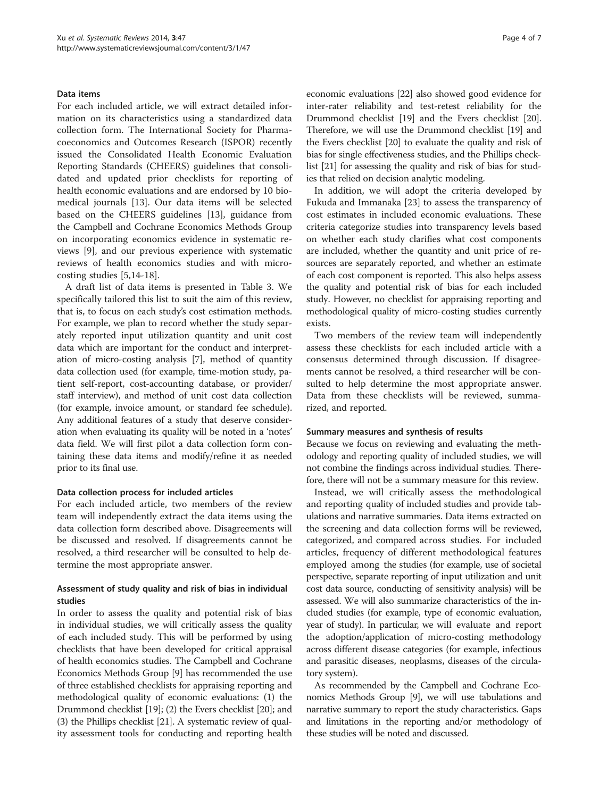### Data items

For each included article, we will extract detailed information on its characteristics using a standardized data collection form. The International Society for Pharmacoeconomics and Outcomes Research (ISPOR) recently issued the Consolidated Health Economic Evaluation Reporting Standards (CHEERS) guidelines that consolidated and updated prior checklists for reporting of health economic evaluations and are endorsed by 10 biomedical journals [[13\]](#page-6-0). Our data items will be selected based on the CHEERS guidelines [\[13\]](#page-6-0), guidance from the Campbell and Cochrane Economics Methods Group on incorporating economics evidence in systematic reviews [\[9](#page-6-0)], and our previous experience with systematic reviews of health economics studies and with microcosting studies [\[5](#page-5-0)[,14-18](#page-6-0)].

A draft list of data items is presented in Table [3](#page-4-0). We specifically tailored this list to suit the aim of this review, that is, to focus on each study's cost estimation methods. For example, we plan to record whether the study separately reported input utilization quantity and unit cost data which are important for the conduct and interpretation of micro-costing analysis [[7\]](#page-5-0), method of quantity data collection used (for example, time-motion study, patient self-report, cost-accounting database, or provider/ staff interview), and method of unit cost data collection (for example, invoice amount, or standard fee schedule). Any additional features of a study that deserve consideration when evaluating its quality will be noted in a 'notes' data field. We will first pilot a data collection form containing these data items and modify/refine it as needed prior to its final use.

## Data collection process for included articles

For each included article, two members of the review team will independently extract the data items using the data collection form described above. Disagreements will be discussed and resolved. If disagreements cannot be resolved, a third researcher will be consulted to help determine the most appropriate answer.

## Assessment of study quality and risk of bias in individual studies

In order to assess the quality and potential risk of bias in individual studies, we will critically assess the quality of each included study. This will be performed by using checklists that have been developed for critical appraisal of health economics studies. The Campbell and Cochrane Economics Methods Group [[9\]](#page-6-0) has recommended the use of three established checklists for appraising reporting and methodological quality of economic evaluations: (1) the Drummond checklist [\[19](#page-6-0)]; (2) the Evers checklist [\[20\]](#page-6-0); and (3) the Phillips checklist [[21](#page-6-0)]. A systematic review of quality assessment tools for conducting and reporting health economic evaluations [\[22\]](#page-6-0) also showed good evidence for inter-rater reliability and test-retest reliability for the Drummond checklist [[19\]](#page-6-0) and the Evers checklist [[20](#page-6-0)]. Therefore, we will use the Drummond checklist [\[19](#page-6-0)] and the Evers checklist [\[20\]](#page-6-0) to evaluate the quality and risk of bias for single effectiveness studies, and the Phillips checklist [[21](#page-6-0)] for assessing the quality and risk of bias for studies that relied on decision analytic modeling.

In addition, we will adopt the criteria developed by Fukuda and Immanaka [\[23](#page-6-0)] to assess the transparency of cost estimates in included economic evaluations. These criteria categorize studies into transparency levels based on whether each study clarifies what cost components are included, whether the quantity and unit price of resources are separately reported, and whether an estimate of each cost component is reported. This also helps assess the quality and potential risk of bias for each included study. However, no checklist for appraising reporting and methodological quality of micro-costing studies currently exists.

Two members of the review team will independently assess these checklists for each included article with a consensus determined through discussion. If disagreements cannot be resolved, a third researcher will be consulted to help determine the most appropriate answer. Data from these checklists will be reviewed, summarized, and reported.

#### Summary measures and synthesis of results

Because we focus on reviewing and evaluating the methodology and reporting quality of included studies, we will not combine the findings across individual studies. Therefore, there will not be a summary measure for this review.

Instead, we will critically assess the methodological and reporting quality of included studies and provide tabulations and narrative summaries. Data items extracted on the screening and data collection forms will be reviewed, categorized, and compared across studies. For included articles, frequency of different methodological features employed among the studies (for example, use of societal perspective, separate reporting of input utilization and unit cost data source, conducting of sensitivity analysis) will be assessed. We will also summarize characteristics of the included studies (for example, type of economic evaluation, year of study). In particular, we will evaluate and report the adoption/application of micro-costing methodology across different disease categories (for example, infectious and parasitic diseases, neoplasms, diseases of the circulatory system).

As recommended by the Campbell and Cochrane Economics Methods Group [\[9](#page-6-0)], we will use tabulations and narrative summary to report the study characteristics. Gaps and limitations in the reporting and/or methodology of these studies will be noted and discussed.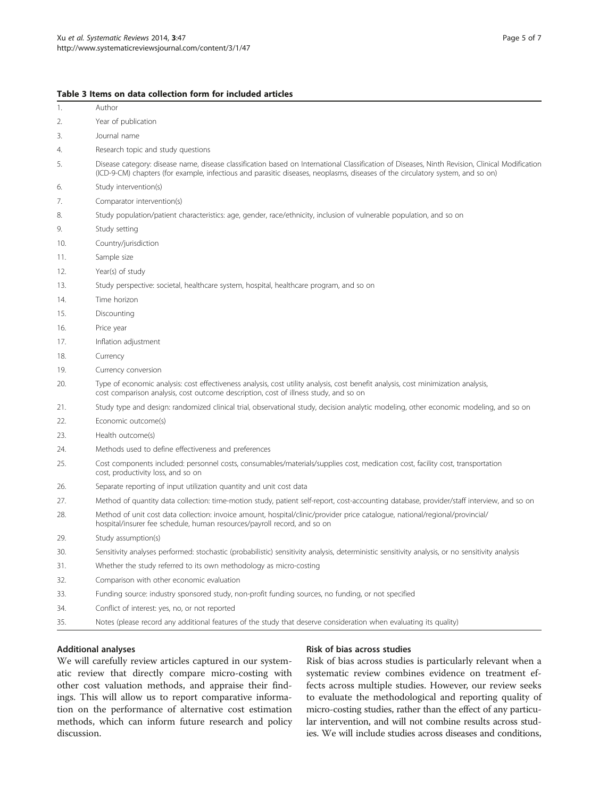## <span id="page-4-0"></span>Table 3 Items on data collection form for included articles

| 1.  | Author                                                                                                                                                                                                                                                                            |
|-----|-----------------------------------------------------------------------------------------------------------------------------------------------------------------------------------------------------------------------------------------------------------------------------------|
| 2.  | Year of publication                                                                                                                                                                                                                                                               |
| 3.  | Journal name                                                                                                                                                                                                                                                                      |
| 4.  | Research topic and study questions                                                                                                                                                                                                                                                |
| 5.  | Disease category: disease name, disease classification based on International Classification of Diseases, Ninth Revision, Clinical Modification<br>(ICD-9-CM) chapters (for example, infectious and parasitic diseases, neoplasms, diseases of the circulatory system, and so on) |
| 6.  | Study intervention(s)                                                                                                                                                                                                                                                             |
| 7.  | Comparator intervention(s)                                                                                                                                                                                                                                                        |
| 8.  | Study population/patient characteristics: age, gender, race/ethnicity, inclusion of vulnerable population, and so on                                                                                                                                                              |
| 9.  | Study setting                                                                                                                                                                                                                                                                     |
| 10. | Country/jurisdiction                                                                                                                                                                                                                                                              |
| 11. | Sample size                                                                                                                                                                                                                                                                       |
| 12. | Year(s) of study                                                                                                                                                                                                                                                                  |
| 13. | Study perspective: societal, healthcare system, hospital, healthcare program, and so on                                                                                                                                                                                           |
| 14. | Time horizon                                                                                                                                                                                                                                                                      |
| 15. | Discounting                                                                                                                                                                                                                                                                       |
| 16. | Price year                                                                                                                                                                                                                                                                        |
| 17. | Inflation adjustment                                                                                                                                                                                                                                                              |
| 18. | Currency                                                                                                                                                                                                                                                                          |
| 19. | Currency conversion                                                                                                                                                                                                                                                               |
| 20. | Type of economic analysis: cost effectiveness analysis, cost utility analysis, cost benefit analysis, cost minimization analysis,<br>cost comparison analysis, cost outcome description, cost of illness study, and so on                                                         |
| 21. | Study type and design: randomized clinical trial, observational study, decision analytic modeling, other economic modeling, and so on                                                                                                                                             |
| 22. | Economic outcome(s)                                                                                                                                                                                                                                                               |
| 23. | Health outcome(s)                                                                                                                                                                                                                                                                 |
| 24. | Methods used to define effectiveness and preferences                                                                                                                                                                                                                              |
| 25. | Cost components included: personnel costs, consumables/materials/supplies cost, medication cost, facility cost, transportation<br>cost, productivity loss, and so on                                                                                                              |
| 26. | Separate reporting of input utilization quantity and unit cost data                                                                                                                                                                                                               |
| 27. | Method of quantity data collection: time-motion study, patient self-report, cost-accounting database, provider/staff interview, and so on                                                                                                                                         |
| 28. | Method of unit cost data collection: invoice amount, hospital/clinic/provider price catalogue, national/regional/provincial/<br>hospital/insurer fee schedule, human resources/payroll record, and so on                                                                          |
| 29. | Study assumption(s)                                                                                                                                                                                                                                                               |
| 30. | Sensitivity analyses performed: stochastic (probabilistic) sensitivity analysis, deterministic sensitivity analysis, or no sensitivity analysis                                                                                                                                   |
| 31. | Whether the study referred to its own methodology as micro-costing                                                                                                                                                                                                                |
| 32. | Comparison with other economic evaluation                                                                                                                                                                                                                                         |
| 33. | Funding source: industry sponsored study, non-profit funding sources, no funding, or not specified                                                                                                                                                                                |
| 34. | Conflict of interest: yes, no, or not reported                                                                                                                                                                                                                                    |
| 35. | Notes (please record any additional features of the study that deserve consideration when evaluating its quality)                                                                                                                                                                 |

## Additional analyses

We will carefully review articles captured in our systematic review that directly compare micro-costing with other cost valuation methods, and appraise their findings. This will allow us to report comparative information on the performance of alternative cost estimation methods, which can inform future research and policy discussion.

## Risk of bias across studies

Risk of bias across studies is particularly relevant when a systematic review combines evidence on treatment effects across multiple studies. However, our review seeks to evaluate the methodological and reporting quality of micro-costing studies, rather than the effect of any particular intervention, and will not combine results across studies. We will include studies across diseases and conditions,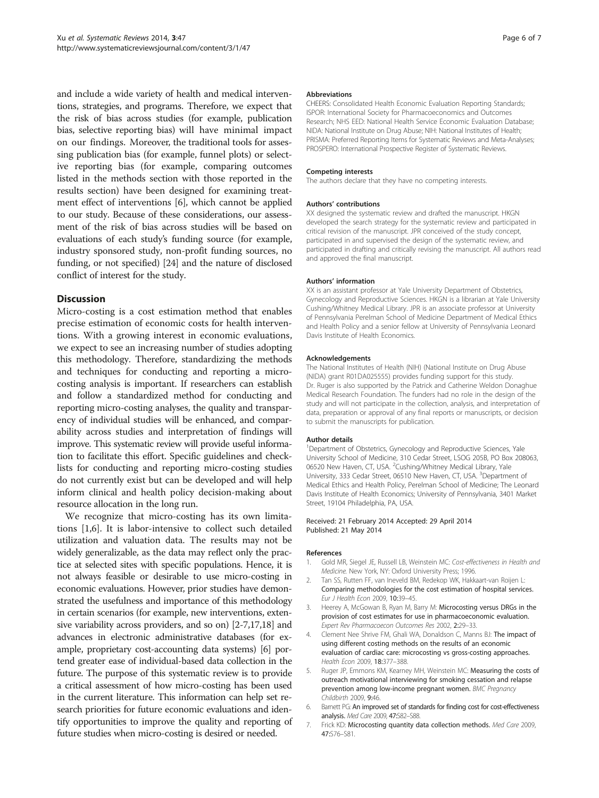<span id="page-5-0"></span>and include a wide variety of health and medical interventions, strategies, and programs. Therefore, we expect that the risk of bias across studies (for example, publication bias, selective reporting bias) will have minimal impact on our findings. Moreover, the traditional tools for assessing publication bias (for example, funnel plots) or selective reporting bias (for example, comparing outcomes listed in the methods section with those reported in the results section) have been designed for examining treatment effect of interventions [6], which cannot be applied to our study. Because of these considerations, our assessment of the risk of bias across studies will be based on evaluations of each study's funding source (for example, industry sponsored study, non-profit funding sources, no funding, or not specified) [\[24\]](#page-6-0) and the nature of disclosed conflict of interest for the study.

## **Discussion**

Micro-costing is a cost estimation method that enables precise estimation of economic costs for health interventions. With a growing interest in economic evaluations, we expect to see an increasing number of studies adopting this methodology. Therefore, standardizing the methods and techniques for conducting and reporting a microcosting analysis is important. If researchers can establish and follow a standardized method for conducting and reporting micro-costing analyses, the quality and transparency of individual studies will be enhanced, and comparability across studies and interpretation of findings will improve. This systematic review will provide useful information to facilitate this effort. Specific guidelines and checklists for conducting and reporting micro-costing studies do not currently exist but can be developed and will help inform clinical and health policy decision-making about resource allocation in the long run.

We recognize that micro-costing has its own limitations [1,6]. It is labor-intensive to collect such detailed utilization and valuation data. The results may not be widely generalizable, as the data may reflect only the practice at selected sites with specific populations. Hence, it is not always feasible or desirable to use micro-costing in economic evaluations. However, prior studies have demonstrated the usefulness and importance of this methodology in certain scenarios (for example, new interventions, extensive variability across providers, and so on) [2-7,[17,18\]](#page-6-0) and advances in electronic administrative databases (for example, proprietary cost-accounting data systems) [6] portend greater ease of individual-based data collection in the future. The purpose of this systematic review is to provide a critical assessment of how micro-costing has been used in the current literature. This information can help set research priorities for future economic evaluations and identify opportunities to improve the quality and reporting of future studies when micro-costing is desired or needed.

#### Abbreviations

CHEERS: Consolidated Health Economic Evaluation Reporting Standards; ISPOR: International Society for Pharmacoeconomics and Outcomes Research; NHS EED: National Health Service Economic Evaluation Database; NIDA: National Institute on Drug Abuse; NIH: National Institutes of Health; PRISMA: Preferred Reporting Items for Systematic Reviews and Meta-Analyses; PROSPERO: International Prospective Register of Systematic Reviews.

#### Competing interests

The authors declare that they have no competing interests.

#### Authors' contributions

XX designed the systematic review and drafted the manuscript. HKGN developed the search strategy for the systematic review and participated in critical revision of the manuscript. JPR conceived of the study concept, participated in and supervised the design of the systematic review, and participated in drafting and critically revising the manuscript. All authors read and approved the final manuscript.

### Authors' information

XX is an assistant professor at Yale University Department of Obstetrics, Gynecology and Reproductive Sciences. HKGN is a librarian at Yale University Cushing/Whitney Medical Library. JPR is an associate professor at University of Pennsylvania Perelman School of Medicine Department of Medical Ethics and Health Policy and a senior fellow at University of Pennsylvania Leonard Davis Institute of Health Economics.

#### Acknowledgements

The National Institutes of Health (NIH) (National Institute on Drug Abuse (NIDA) grant R01DA025555) provides funding support for this study. Dr. Ruger is also supported by the Patrick and Catherine Weldon Donaghue Medical Research Foundation. The funders had no role in the design of the study and will not participate in the collection, analysis, and interpretation of data, preparation or approval of any final reports or manuscripts, or decision to submit the manuscripts for publication.

#### Author details

<sup>1</sup>Department of Obstetrics, Gynecology and Reproductive Sciences, Yale University School of Medicine, 310 Cedar Street, LSOG 205B, PO Box 208063, 06520 New Haven, CT, USA. <sup>2</sup>Cushing/Whitney Medical Library, Yale University, 333 Cedar Street, 06510 New Haven, CT, USA. <sup>3</sup>Department of Medical Ethics and Health Policy, Perelman School of Medicine; The Leonard Davis Institute of Health Economics; University of Pennsylvania, 3401 Market Street, 19104 Philadelphia, PA, USA.

#### Received: 21 February 2014 Accepted: 29 April 2014 Published: 21 May 2014

#### References

- Gold MR, Siegel JE, Russell LB, Weinstein MC: Cost-effectiveness in Health and Medicine. New York, NY: Oxford University Press; 1996.
- 2. Tan SS, Rutten FF, van Ineveld BM, Redekop WK, Hakkaart-van Roijen L: Comparing methodologies for the cost estimation of hospital services. Eur J Health Econ 2009, 10:39–45.
- 3. Heerey A, McGowan B, Ryan M, Barry M: Microcosting versus DRGs in the provision of cost estimates for use in pharmacoeconomic evaluation. Expert Rev Pharmacoecon Outcomes Res 2002, 2:29–33.
- 4. Clement Nee Shrive FM, Ghali WA, Donaldson C, Manns BJ: The impact of using different costing methods on the results of an economic evaluation of cardiac care: microcosting vs gross-costing approaches. Health Econ 2009, 18:377–388.
- 5. Ruger JP, Emmons KM, Kearney MH, Weinstein MC: Measuring the costs of outreach motivational interviewing for smoking cessation and relapse prevention among low-income pregnant women. BMC Pregnancy Childbirth 2009, 9:46.
- 6. Barnett PG: An improved set of standards for finding cost for cost-effectiveness analysis. Med Care 2009, 47:S82–S88.
- 7. Frick KD: Microcosting quantity data collection methods. Med Care 2009, 47:S76–S81.